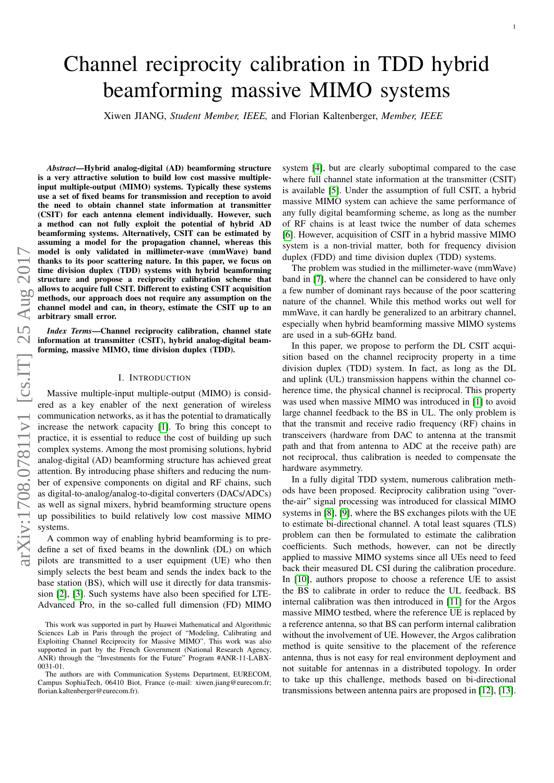# Channel reciprocity calibration in TDD hybrid beamforming massive MIMO systems

Xiwen JIANG, *Student Member, IEEE,* and Florian Kaltenberger, *Member, IEEE*

*Abstract*—Hybrid analog-digital (AD) beamforming structure is a very attractive solution to build low cost massive multipleinput multiple-output (MIMO) systems. Typically these systems use a set of fixed beams for transmission and reception to avoid the need to obtain channel state information at transmitter (CSIT) for each antenna element individually. However, such a method can not fully exploit the potential of hybrid AD beamforming systems. Alternatively, CSIT can be estimated by assuming a model for the propagation channel, whereas this model is only validated in millimeter-wave (mmWave) band thanks to its poor scattering nature. In this paper, we focus on time division duplex (TDD) systems with hybrid beamforming structure and propose a reciprocity calibration scheme that allows to acquire full CSIT. Different to existing CSIT acquisition methods, our approach does not require any assumption on the channel model and can, in theory, estimate the CSIT up to an arbitrary small error.

*Index Terms*—Channel reciprocity calibration, channel state information at transmitter (CSIT), hybrid analog-digital beamforming, massive MIMO, time division duplex (TDD).

#### I. INTRODUCTION

Massive multiple-input multiple-output (MIMO) is considered as a key enabler of the next generation of wireless communication networks, as it has the potential to dramatically increase the network capacity [\[1\]](#page-9-0). To bring this concept to practice, it is essential to reduce the cost of building up such complex systems. Among the most promising solutions, hybrid analog-digital (AD) beamforming structure has achieved great attention. By introducing phase shifters and reducing the number of expensive components on digital and RF chains, such as digital-to-analog/analog-to-digital converters (DACs/ADCs) as well as signal mixers, hybrid beamforming structure opens up possibilities to build relatively low cost massive MIMO systems.

A common way of enabling hybrid beamforming is to predefine a set of fixed beams in the downlink (DL) on which pilots are transmitted to a user equipment (UE) who then simply selects the best beam and sends the index back to the base station (BS), which will use it directly for data transmission [\[2\]](#page-9-1), [\[3\]](#page-9-2). Such systems have also been specified for LTE-Advanced Pro, in the so-called full dimension (FD) MIMO system [\[4\]](#page-9-3), but are clearly suboptimal compared to the case where full channel state information at the transmitter (CSIT) is available [\[5\]](#page-9-4). Under the assumption of full CSIT, a hybrid massive MIMO system can achieve the same performance of any fully digital beamforming scheme, as long as the number of RF chains is at least twice the number of data schemes [\[6\]](#page-9-5). However, acquisition of CSIT in a hybrid massive MIMO system is a non-trivial matter, both for frequency division duplex (FDD) and time division duplex (TDD) systems.

The problem was studied in the millimeter-wave (mmWave) band in [\[7\]](#page-9-6), where the channel can be considered to have only a few number of dominant rays because of the poor scattering nature of the channel. While this method works out well for mmWave, it can hardly be generalized to an arbitrary channel, especially when hybrid beamforming massive MIMO systems are used in a sub-6GHz band.

In this paper, we propose to perform the DL CSIT acquisition based on the channel reciprocity property in a time division duplex (TDD) system. In fact, as long as the DL and uplink (UL) transmission happens within the channel coherence time, the physical channel is reciprocal. This property was used when massive MIMO was introduced in [\[1\]](#page-9-0) to avoid large channel feedback to the BS in UL. The only problem is that the transmit and receive radio frequency (RF) chains in transceivers (hardware from DAC to antenna at the transmit path and that from antenna to ADC at the receive path) are not reciprocal, thus calibration is needed to compensate the hardware asymmetry.

In a fully digital TDD system, numerous calibration methods have been proposed. Reciprocity calibration using "overthe-air" signal processing was introduced for classical MIMO systems in [\[8\]](#page-9-7), [\[9\]](#page-9-8), where the BS exchanges pilots with the UE to estimate bi-directional channel. A total least squares (TLS) problem can then be formulated to estimate the calibration coefficients. Such methods, however, can not be directly applied to massive MIMO systems since all UEs need to feed back their measured DL CSI during the calibration procedure. In [\[10\]](#page-9-9), authors propose to choose a reference UE to assist the BS to calibrate in order to reduce the UL feedback. BS internal calibration was then introduced in [\[11\]](#page-9-10) for the Argos massive MIMO testbed, where the reference UE is replaced by a reference antenna, so that BS can perform internal calibration without the involvement of UE. However, the Argos calibration method is quite sensitive to the placement of the reference antenna, thus is not easy for real environment deployment and not suitable for antennas in a distributed topology. In order to take up this challenge, methods based on bi-directional transmissions between antenna pairs are proposed in [\[12\]](#page-9-11), [\[13\]](#page-9-12).

This work was supported in part by Huawei Mathematical and Algorithmic Sciences Lab in Paris through the project of "Modeling, Calibrating and Exploiting Channel Reciprocity for Massive MIMO". This work was also supported in part by the French Government (National Research Agency, ANR) through the "Investments for the Future" Program #ANR-11-LABX-0031-01.

The authors are with Communication Systems Department, EURECOM, Campus SophiaTech, 06410 Biot, France (e-mail: xiwen.jiang@eurecom.fr; florian.kaltenberger@eurecom.fr).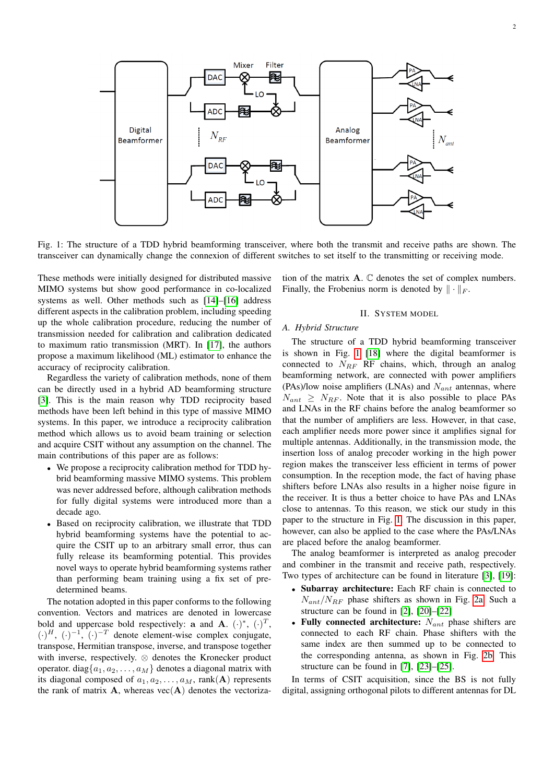<span id="page-1-0"></span>

Fig. 1: The structure of a TDD hybrid beamforming transceiver, where both the transmit and receive paths are shown. The transceiver can dynamically change the connexion of different switches to set itself to the transmitting or receiving mode.

These methods were initially designed for distributed massive MIMO systems but show good performance in co-localized systems as well. Other methods such as [\[14\]](#page-9-13)–[\[16\]](#page-9-14) address different aspects in the calibration problem, including speeding up the whole calibration procedure, reducing the number of transmission needed for calibration and calibration dedicated to maximum ratio transmission (MRT). In [\[17\]](#page-9-15), the authors propose a maximum likelihood (ML) estimator to enhance the accuracy of reciprocity calibration.

Regardless the variety of calibration methods, none of them can be directly used in a hybrid AD beamforming structure [\[3\]](#page-9-2). This is the main reason why TDD reciprocity based methods have been left behind in this type of massive MIMO systems. In this paper, we introduce a reciprocity calibration method which allows us to avoid beam training or selection and acquire CSIT without any assumption on the channel. The main contributions of this paper are as follows:

- We propose a reciprocity calibration method for TDD hybrid beamforming massive MIMO systems. This problem was never addressed before, although calibration methods for fully digital systems were introduced more than a decade ago.
- Based on reciprocity calibration, we illustrate that TDD hybrid beamforming systems have the potential to acquire the CSIT up to an arbitrary small error, thus can fully release its beamforming potential. This provides novel ways to operate hybrid beamforming systems rather than performing beam training using a fix set of predetermined beams.

The notation adopted in this paper conforms to the following convention. Vectors and matrices are denoted in lowercase bold and uppercase bold respectively: a and A.  $(\cdot)^*, (\cdot)^T$ ,  $(\cdot)^{H}$ ,  $(\cdot)^{-1}$ ,  $(\cdot)^{-T}$  denote element-wise complex conjugate, transpose, Hermitian transpose, inverse, and transpose together with inverse, respectively. ⊗ denotes the Kronecker product operator. diag $\{a_1, a_2, \ldots, a_M\}$  denotes a diagonal matrix with its diagonal composed of  $a_1, a_2, \ldots, a_M$ , rank(A) represents the rank of matrix  $A$ , whereas vec $(A)$  denotes the vectorization of the matrix A. C denotes the set of complex numbers. Finally, the Frobenius norm is denoted by  $\|\cdot\|_F$ .

## II. SYSTEM MODEL

#### *A. Hybrid Structure*

The structure of a TDD hybrid beamforming transceiver is shown in Fig. [1](#page-1-0) [\[18\]](#page-9-16) where the digital beamformer is connected to  $N_{RF}$  RF chains, which, through an analog beamforming network, are connected with power amplifiers (PAs)/low noise amplifiers (LNAs) and  $N_{ant}$  antennas, where  $N_{ant} \geq N_{RF}$ . Note that it is also possible to place PAs and LNAs in the RF chains before the analog beamformer so that the number of amplifiers are less. However, in that case, each amplifier needs more power since it amplifies signal for multiple antennas. Additionally, in the transmission mode, the insertion loss of analog precoder working in the high power region makes the transceiver less efficient in terms of power consumption. In the reception mode, the fact of having phase shifters before LNAs also results in a higher noise figure in the receiver. It is thus a better choice to have PAs and LNAs close to antennas. To this reason, we stick our study in this paper to the structure in Fig. [1.](#page-1-0) The discussion in this paper, however, can also be applied to the case where the PAs/LNAs are placed before the analog beamformer.

The analog beamformer is interpreted as analog precoder and combiner in the transmit and receive path, respectively. Two types of architecture can be found in literature [\[3\]](#page-9-2), [\[19\]](#page-9-17):

- Subarray architecture: Each RF chain is connected to  $N_{ant}/N_{RF}$  phase shifters as shown in Fig. [2a.](#page-2-0) Such a structure can be found in [\[2\]](#page-9-1), [\[20\]](#page-9-18)–[\[22\]](#page-9-19)
- Fully connected architecture:  $N_{ant}$  phase shifters are connected to each RF chain. Phase shifters with the same index are then summed up to be connected to the corresponding antenna, as shown in Fig. [2b.](#page-2-0) This structure can be found in [\[7\]](#page-9-6), [\[23\]](#page-9-20)–[\[25\]](#page-9-21).

In terms of CSIT acquisition, since the BS is not fully digital, assigning orthogonal pilots to different antennas for DL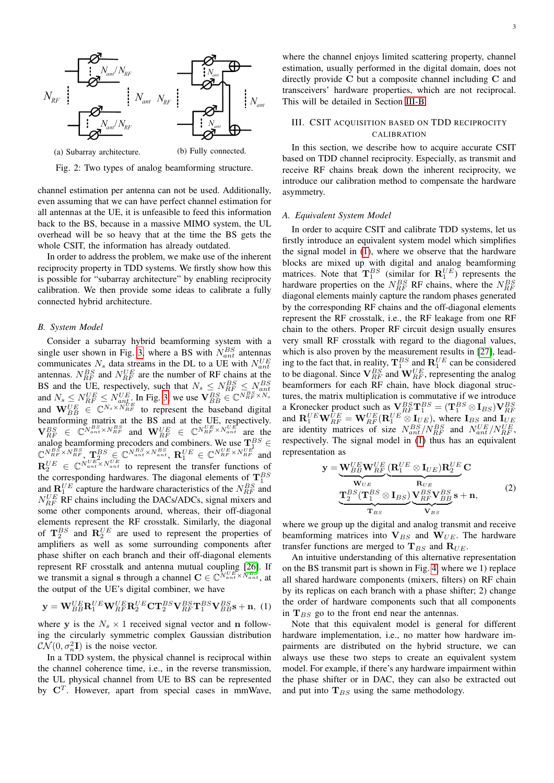<span id="page-2-0"></span>

Fig. 2: Two types of analog beamforming structure.

channel estimation per antenna can not be used. Additionally, even assuming that we can have perfect channel estimation for all antennas at the UE, it is unfeasible to feed this information back to the BS, because in a massive MIMO system, the UL overhead will be so heavy that at the time the BS gets the whole CSIT, the information has already outdated.

In order to address the problem, we make use of the inherent reciprocity property in TDD systems. We firstly show how this is possible for "subarray architecture" by enabling reciprocity calibration. We then provide some ideas to calibrate a fully connected hybrid architecture.

#### *B. System Model*

Consider a subarray hybrid beamforming system with a single user shown in Fig. [3,](#page-3-0) where a BS with  $N_{ant}^{BS}$  antennas communicates  $N_s$  data streams in the DL to a UE with  $N_{ant}^{UE}$ antennas.  $N_{RF}^{BS}$  and  $N_{RF}^{UE}$  are the number of RF chains at the BS and the UE, respectively, such that  $N_s \le N_{RF}^{BS} \le N_{ant}^{BS}$ <br>and  $N_s \le N_{RF}^{UE} \le N_{ant}^{UE}$ . In Fig. [3,](#page-3-0) we use  $\mathbf{V}_{BB}^{BS} \in \mathbb{C}^{N_{RF}^{BS} \times N_s}$ and  $\mathbf{W}_{BB}^{UE} \in \mathbb{C}^{N_s \times N_{RF}^{UE}}$  to represent the baseband digital beamforming matrix at the BS and at the UE, respectively.  ${\bf V}_{RF}^{BS} \in \mathbb{C}^{{N}_{ant}^{BS} \times N_{RF}^{BS}}$  and  ${\bf W}_{RF}^{UE} \in \mathbb{C}^{N_{RF}^{UE} \times N_{ant}^{UE}}$  are the analog beamforming precoders and combiners. We use  $\mathbf{T}^{BS}_{11}$   $\in$  $\mathbb{C}^{N_{RF}^{BS} \times N_{RF}^{BS}}, \mathbf{T}_{u,v}^{BS} \in \mathbb{C}^{N_{ant}^{BS} \times N_{ant}^{BS}}, \mathbf{R}_{1}^{UE} \in \mathbb{C}^{N_{RF}^{UE} \times N_{RF}^{UE}}$  and  $\mathbf{R}_2^{UE} \in \mathbb{C}^{N_{ant}^{UE} \times N_{ant}^{UE}}$  to represent the transfer functions of the corresponding hardwares. The diagonal elements of  $\mathbf{T}_1^{BS}$ and  $\mathbf{R}^{UE}_{1}$  capture the hardware characteristics of the  $N_{RF}^{BS}$  and  $N_{RF}^{UE}$  RF chains including the DACs/ADCs, signal mixers and some other components around, whereas, their off-diagonal elements represent the RF crosstalk. Similarly, the diagonal of  $\mathbf{T}_2^{BS}$  and  $\mathbf{R}_2^{UE}$  are used to represent the properties of amplifiers as well as some surrounding components after phase shifter on each branch and their off-diagonal elements represent RF crosstalk and antenna mutual coupling [\[26\]](#page-9-22). If we transmit a signal s through a channel  $\mathbf{C} \in \mathbb{C}^{\tilde{N}_{ant}^{UE} \times \tilde{N}_{ant}^{BS}}$ , at the output of the UE's digital combiner, we have

<span id="page-2-1"></span>
$$
\mathbf{y} = \mathbf{W}_{BB}^{UE} \mathbf{R}_1^{UE} \mathbf{W}_{RF}^{UE} \mathbf{R}_2^{UE} \mathbf{C} \mathbf{T}_2^{BS} \mathbf{V}_{RF}^{BS} \mathbf{T}_1^{BS} \mathbf{V}_{BB}^{BS} + \mathbf{n}, \ (1)
$$

where y is the  $N_s \times 1$  received signal vector and n following the circularly symmetric complex Gaussian distribution  $\mathcal{CN}(0, \sigma_n^2\mathbf{I})$  is the noise vector.

In a TDD system, the physical channel is reciprocal within the channel coherence time, i.e., in the reverse transmission, the UL physical channel from UE to BS can be represented by  $\mathbf{C}^T$ . However, apart from special cases in mmWave,

## III. CSIT ACQUISITION BASED ON TDD RECIPROCITY CALIBRATION

In this section, we describe how to acquire accurate CSIT based on TDD channel reciprocity. Especially, as transmit and receive RF chains break down the inherent reciprocity, we introduce our calibration method to compensate the hardware asymmetry.

#### *A. Equivalent System Model*

In order to acquire CSIT and calibrate TDD systems, let us firstly introduce an equivalent system model which simplifies the signal model in [\(1\)](#page-2-1), where we observe that the hardware blocks are mixed up with digital and analog beamforming matrices. Note that  $\mathbf{T}_1^{BS}$  (similar for  $\mathbf{R}_1^{UE}$ ) represents the hardware properties on the  $N_{RF}^{BS}$  RF chains, where the  $N_{RF}^{BS}$ diagonal elements mainly capture the random phases generated by the corresponding RF chains and the off-diagonal elements represent the RF crosstalk, i.e., the RF leakage from one RF chain to the others. Proper RF circuit design usually ensures very small RF crosstalk with regard to the diagonal values, which is also proven by the measurement results in [\[27\]](#page-9-23), leading to the fact that, in reality,  $\mathbf{T}_1^{BS}$  and  $\mathbf{R}_1^{UE}$  can be considered to be diagonal. Since  $\mathbf{V}_{RF}^{BS}$  and  $\mathbf{W}_{RF}^{UE}$ , representing the analog beamformers for each RF chain, have block diagonal structures, the matrix multiplication is commutative if we introduce a Kronecker product such as  $\mathbf{V}_{RF}^{BS} \mathbf{T}_{1}^{BS} = (\mathbf{T}_{1}^{BS} \otimes \mathbf{I}_{BS}) \mathbf{V}_{RF}^{BS}$ <br>and  $\mathbf{R}_{1}^{UE} \mathbf{W}_{RF}^{UE} = \mathbf{W}_{RF}^{UE} (\mathbf{R}_{1}^{UE} \otimes \mathbf{I}_{UE})$ , where  $\mathbf{I}_{BS}$  and  $\mathbf{I}_{UE}$ are identity matrices of size  $N_{ant}^{BS}/N_{RF}^{BS}$  and  $N_{ant}^{UE}/N_{RF}^{UE}$ , respectively. The signal model in [\(1\)](#page-2-1) thus has an equivalent representation as

<span id="page-2-2"></span>
$$
\mathbf{y} = \underbrace{\mathbf{W}_{BB}^{UE} \mathbf{W}_{RF}^{UE}}_{\mathbf{W}_{UE}} (\underbrace{\mathbf{R}_{1}^{UE} \otimes \mathbf{I}_{UE}) \mathbf{R}_{2}^{UE}}_{\mathbf{R}_{UE}} \mathbf{C}
$$
\n
$$
\underbrace{\mathbf{T}_{2}^{BS} (\mathbf{T}_{1}^{BS} \otimes \mathbf{I}_{BS})}_{\mathbf{T}_{BS}} \underbrace{\mathbf{V}_{RF}^{BS} \mathbf{V}_{BB}^{BS}}_{\mathbf{V}_{BS}} \mathbf{s} + \mathbf{n}, \tag{2}
$$

where we group up the digital and analog transmit and receive beamforming matrices into  $V_{BS}$  and  $W_{UE}$ . The hardware transfer functions are merged to  $T_{BS}$  and  $R_{UE}$ .

An intuitive understanding of this alternative representation on the BS transmit part is shown in Fig. [4,](#page-3-2) where we 1) replace all shared hardware components (mixers, filters) on RF chain by its replicas on each branch with a phase shifter; 2) change the order of hardware components such that all components in  $T_{BS}$  go to the front end near the antennas.

Note that this equivalent model is general for different hardware implementation, i.e., no matter how hardware impairments are distributed on the hybrid structure, we can always use these two steps to create an equivalent system model. For example, if there's any hardware impairment within the phase shifter or in DAC, they can also be extracted out and put into  $T_{BS}$  using the same methodology.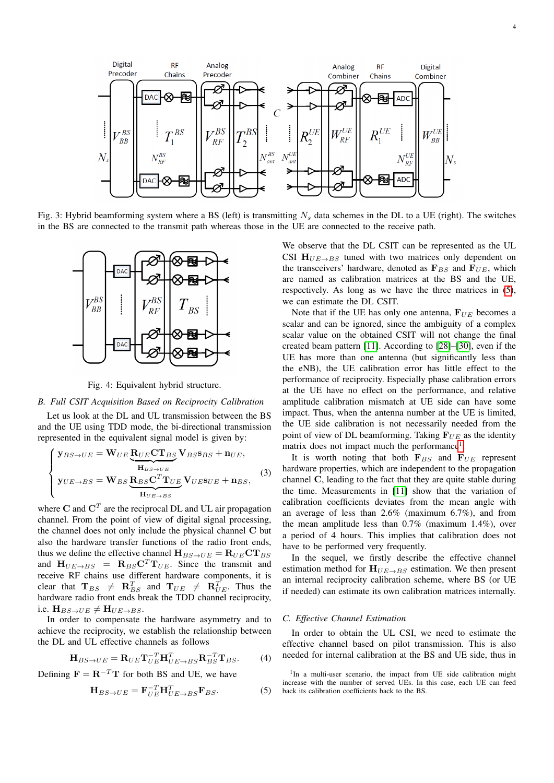<span id="page-3-0"></span>

<span id="page-3-2"></span>Fig. 3: Hybrid beamforming system where a BS (left) is transmitting  $N_s$  data schemes in the DL to a UE (right). The switches in the BS are connected to the transmit path whereas those in the UE are connected to the receive path.



Fig. 4: Equivalent hybrid structure.

## <span id="page-3-1"></span>*B. Full CSIT Acquisition Based on Reciprocity Calibration*

Let us look at the DL and UL transmission between the BS and the UE using TDD mode, the bi-directional transmission represented in the equivalent signal model is given by:

$$
\begin{cases}\n\mathbf{y}_{BS \to UE} = \mathbf{W}_{UE} \underbrace{\mathbf{R}_{UE} \mathbf{C} \mathbf{T}_{BS}}_{\mathbf{H}_{BS \to UE}} \mathbf{V}_{BS \text{B}SS} + \mathbf{n}_{UE}, \\
\mathbf{y}_{UE \to BS} = \mathbf{W}_{BS} \underbrace{\mathbf{R}_{BS} \mathbf{C}^{T} \mathbf{T}_{UE}}_{\mathbf{H}_{UE \to BS}} \mathbf{V}_{UE} \mathbf{s}_{UE} + \mathbf{n}_{BS},\n\end{cases}
$$
\n(3)

where C and  $\mathbf{C}^T$  are the reciprocal DL and UL air propagation channel. From the point of view of digital signal processing, the channel does not only include the physical channel C but also the hardware transfer functions of the radio front ends, thus we define the effective channel  $H_{BS\rightarrow UE} = R_{UE}CT_{BS}$ and  $H_{UE\rightarrow BS} = R_{BS}C^{T}T_{UE}$ . Since the transmit and receive RF chains use different hardware components, it is clear that  $\mathbf{T}_{BS}$   $\neq$   $\mathbf{R}_{BS}^T$  and  $\mathbf{T}_{UE}$   $\neq$   $\mathbf{R}_{UE}^T$ . Thus the hardware radio front ends break the TDD channel reciprocity, i.e.  $H_{BS\rightarrow UE} \neq H_{UE\rightarrow BS}$ .

In order to compensate the hardware asymmetry and to achieve the reciprocity, we establish the relationship between the DL and UL effective channels as follows

$$
\mathbf{H}_{BS \to UE} = \mathbf{R}_{UE} \mathbf{T}_{UE}^{-T} \mathbf{H}_{UE \to BS}^{T} \mathbf{R}_{BS}^{-T} \mathbf{T}_{BS}.
$$
 (4)

Defining  $\mathbf{F} = \mathbf{R}^{-T} \mathbf{T}$  for both BS and UE, we have

<span id="page-3-3"></span>
$$
\mathbf{H}_{BS \to UE} = \mathbf{F}_{UE}^{-T} \mathbf{H}_{UE \to BS}^{T} \mathbf{F}_{BS}.
$$
 (5)

We observe that the DL CSIT can be represented as the UL CSI  $H_{UE\rightarrow BS}$  tuned with two matrices only dependent on the transceivers' hardware, denoted as  $\mathbf{F}_{BS}$  and  $\mathbf{F}_{UE}$ , which are named as calibration matrices at the BS and the UE, respectively. As long as we have the three matrices in [\(5\)](#page-3-3), we can estimate the DL CSIT.

Note that if the UE has only one antenna,  $\mathbf{F}_{UE}$  becomes a scalar and can be ignored, since the ambiguity of a complex scalar value on the obtained CSIT will not change the final created beam pattern [\[11\]](#page-9-10). According to [\[28\]](#page-9-24)–[\[30\]](#page-9-25), even if the UE has more than one antenna (but significantly less than the eNB), the UE calibration error has little effect to the performance of reciprocity. Especially phase calibration errors at the UE have no effect on the performance, and relative amplitude calibration mismatch at UE side can have some impact. Thus, when the antenna number at the UE is limited, the UE side calibration is not necessarily needed from the point of view of DL beamforming. Taking  $F_{UE}$  as the identity matrix does not impact much the performance<sup>[1](#page-3-4)</sup>.

It is worth noting that both  $F_{BS}$  and  $F_{UE}$  represent hardware properties, which are independent to the propagation channel C, leading to the fact that they are quite stable during the time. Measurements in [\[11\]](#page-9-10) show that the variation of calibration coefficients deviates from the mean angle with an average of less than 2.6% (maximum 6.7%), and from the mean amplitude less than 0.7% (maximum 1.4%), over a period of 4 hours. This implies that calibration does not have to be performed very frequently.

In the sequel, we firstly describe the effective channel estimation method for  $H_{UE\rightarrow BS}$  estimation. We then present an internal reciprocity calibration scheme, where BS (or UE if needed) can estimate its own calibration matrices internally.

#### <span id="page-3-5"></span>*C. Effective Channel Estimation*

In order to obtain the UL CSI, we need to estimate the effective channel based on pilot transmission. This is also needed for internal calibration at the BS and UE side, thus in

<span id="page-3-4"></span><sup>&</sup>lt;sup>1</sup>In a multi-user scenario, the impact from UE side calibration might increase with the number of served UEs. In this case, each UE can feed back its calibration coefficients back to the BS.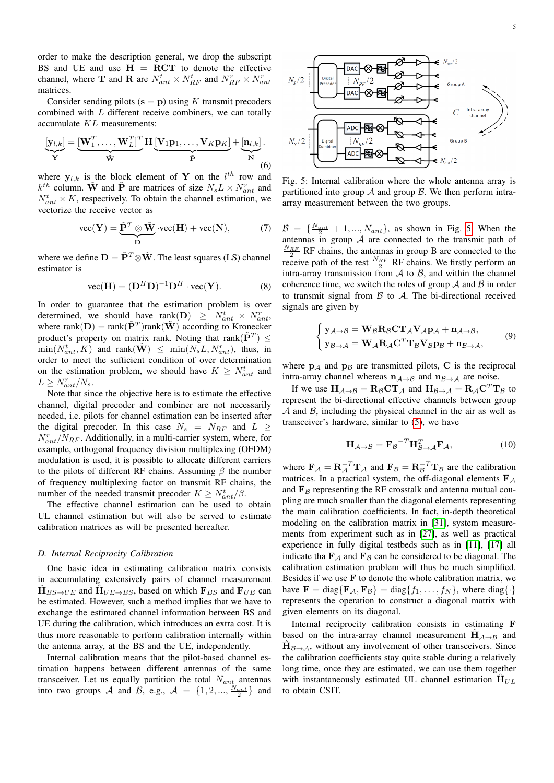order to make the description general, we drop the subscript BS and UE and use  $H = RCT$  to denote the effective channel, where **T** and **R** are  $N_{ant}^t \times N_{RF}^t$  and  $N_{RF}^r \times N_{ant}^r$ matrices.

Consider sending pilots  $(s = p)$  using K transmit precoders combined with L different receive combiners, we can totally accumulate KL measurements:

$$
\underbrace{[\mathbf{y}_{l,k}]}_{\mathbf{Y}} = \underbrace{[\mathbf{W}_1^T, \dots, \mathbf{W}_L^T]^T}_{\tilde{\mathbf{W}}}
$$
 
$$
\mathbf{H} \underbrace{[\mathbf{V}_1 \mathbf{p}_1, \dots, \mathbf{V}_K \mathbf{p}_K]}_{\tilde{\mathbf{P}}} + \underbrace{[\mathbf{n}_{l,k}]}_{\mathbf{N}}.
$$
 (6)

where  $y_{l,k}$  is the block element of Y on the  $l^{th}$  row and  $k^{th}$  column. W and  $\tilde{P}$  are matrices of size  $N_s L \times N_{ant}^r$  and  $N_{ant}^t \times K$ , respectively. To obtain the channel estimation, we vectorize the receive vector as

$$
\text{vec}(\mathbf{Y}) = \underbrace{\tilde{\mathbf{P}}^T \otimes \tilde{\mathbf{W}}}_{\mathbf{D}} \cdot \text{vec}(\mathbf{H}) + \text{vec}(\mathbf{N}),\tag{7}
$$

where we define  $\mathbf{D} = \tilde{\mathbf{P}}^T \otimes \tilde{\mathbf{W}}$ . The least squares (LS) channel estimator is

$$
\text{vec}(\mathbf{H}) = (\mathbf{D}^H \mathbf{D})^{-1} \mathbf{D}^H \cdot \text{vec}(\mathbf{Y}). \tag{8}
$$

In order to guarantee that the estimation problem is over determined, we should have rank(D)  $\geq N_{ant}^t \times N_{ant}^r$ where rank $(D) = \text{rank}(\tilde{\mathbf{P}}^T)$ rank $(\tilde{\mathbf{W}})$  according to Kronecker product's property on matrix rank. Noting that rank $(\tilde{\mathbf{P}}^T) \leq$  $\min(N_{ant}^t, K)$  and  $\text{rank}(\tilde{\mathbf{W}}) \leq \min(N_s L, N_{ant}^r)$ , thus, in order to meet the sufficient condition of over determination on the estimation problem, we should have  $K \geq N_{ant}^t$  and  $L \geq N_{ant}^r/N_s.$ 

Note that since the objective here is to estimate the effective channel, digital precoder and combiner are not necessarily needed, i.e. pilots for channel estimation can be inserted after the digital precoder. In this case  $N_s = N_{RF}$  and  $L \geq$  $N_{ant}^{r}/N_{RF}$ . Additionally, in a multi-carrier system, where, for example, orthogonal frequency division multiplexing (OFDM) modulation is used, it is possible to allocate different carriers to the pilots of different RF chains. Assuming  $\beta$  the number of frequency multiplexing factor on transmit RF chains, the number of the needed transmit precoder  $K \ge N_{ant}^t/\beta$ .

The effective channel estimation can be used to obtain UL channel estimation but will also be served to estimate calibration matrices as will be presented hereafter.

## <span id="page-4-1"></span>*D. Internal Reciprocity Calibration*

One basic idea in estimating calibration matrix consists in accumulating extensively pairs of channel measurement  $\hat{H}_{BS\rightarrow UE}$  and  $\hat{H}_{UE\rightarrow BS}$ , based on which  $\mathbf{F}_{BS}$  and  $\mathbf{F}_{UE}$  can be estimated. However, such a method implies that we have to exchange the estimated channel information between BS and UE during the calibration, which introduces an extra cost. It is thus more reasonable to perform calibration internally within the antenna array, at the BS and the UE, independently.

Internal calibration means that the pilot-based channel estimation happens between different antennas of the same transceiver. Let us equally partition the total  $N_{ant}$  antennas into two groups A and B, e.g.,  $A = \{1, 2, ..., \frac{N_{ant}}{2}\}\)$  and

<span id="page-4-0"></span>

Fig. 5: Internal calibration where the whole antenna array is partitioned into group  $\mathcal A$  and group  $\mathcal B$ . We then perform intraarray measurement between the two groups.

 $\mathcal{B} = \{\frac{N_{ant}}{2} + 1, ..., N_{ant}\}\$ , as shown in Fig. [5.](#page-4-0) When the antennas in group  $A$  are connected to the transmit path of  $\frac{N_{RF}}{2}$  RF chains, the antennas in group B are connected to the receive path of the rest  $\frac{N_{RF}}{2}$  RF chains. We firstly perform an intra-array transmission from  $\mathcal A$  to  $\mathcal B$ , and within the channel coherence time, we switch the roles of group  $A$  and  $B$  in order to transmit signal from  $\beta$  to  $\mathcal{A}$ . The bi-directional received signals are given by

$$
\begin{cases} \mathbf{y}_{A \to B} = \mathbf{W}_{B} \mathbf{R}_{B} \mathbf{C} \mathbf{T}_{A} \mathbf{V}_{A} \mathbf{p}_{A} + \mathbf{n}_{A \to B}, \\ \mathbf{y}_{B \to A} = \mathbf{W}_{A} \mathbf{R}_{A} \mathbf{C}^{T} \mathbf{T}_{B} \mathbf{V}_{B} \mathbf{p}_{B} + \mathbf{n}_{B \to A}, \end{cases} (9)
$$

where  $p_A$  and  $p_B$  are transmitted pilots, C is the reciprocal intra-array channel whereas  $n_{A\rightarrow B}$  and  $n_{B\rightarrow A}$  are noise.

If we use  $H_{\mathcal{A}\to\mathcal{B}} = R_{\mathcal{B}}CT_{\mathcal{A}}$  and  $H_{\mathcal{B}\to\mathcal{A}} = R_{\mathcal{A}}C^{T}T_{\mathcal{B}}$  to represent the bi-directional effective channels between group  $A$  and  $B$ , including the physical channel in the air as well as transceiver's hardware, similar to [\(5\)](#page-3-3), we have

$$
\mathbf{H}_{\mathcal{A}\to\mathcal{B}} = \mathbf{F}_{\mathcal{B}}^{-T} \mathbf{H}_{\mathcal{B}\to\mathcal{A}}^{T} \mathbf{F}_{\mathcal{A}},\tag{10}
$$

where  $\mathbf{F}_{\mathcal{A}} = \mathbf{R}_{\mathcal{A}}^{-T} \mathbf{T}_{\mathcal{A}}$  and  $\mathbf{F}_{\mathcal{B}} = \mathbf{R}_{\mathcal{B}}^{-T} \mathbf{T}_{\mathcal{B}}$  are the calibration matrices. In a practical system, the off-diagonal elements  $\mathbf{F}_{\mathcal{A}}$ and  $\mathbf{F}_{\mathcal{B}}$  representing the RF crosstalk and antenna mutual coupling are much smaller than the diagonal elements representing the main calibration coefficients. In fact, in-depth theoretical modeling on the calibration matrix in [\[31\]](#page-9-26), system measurements from experiment such as in [\[27\]](#page-9-23), as well as practical experience in fully digital testbeds such as in [\[11\]](#page-9-10), [\[17\]](#page-9-15) all indicate tha  $\mathbf{F}_A$  and  $\mathbf{F}_B$  can be considered to be diagonal. The calibration estimation problem will thus be much simplified. Besides if we use  $F$  to denote the whole calibration matrix, we have  $\mathbf{F} = \text{diag}\{\mathbf{F}_A, \mathbf{F}_B\} = \text{diag}\{f_1, \ldots, f_N\}$ , where  $\text{diag}\{\cdot\}$ represents the operation to construct a diagonal matrix with given elements on its diagonal.

Internal reciprocity calibration consists in estimating F based on the intra-array channel measurement  $\hat{H}_{A\rightarrow B}$  and  $\hat{H}_{\mathcal{B}\rightarrow\mathcal{A}}$ , without any involvement of other transceivers. Since the calibration coefficients stay quite stable during a relatively long time, once they are estimated, we can use them together with instantaneously estimated UL channel estimation  $\hat{H}_{UL}$ to obtain CSIT.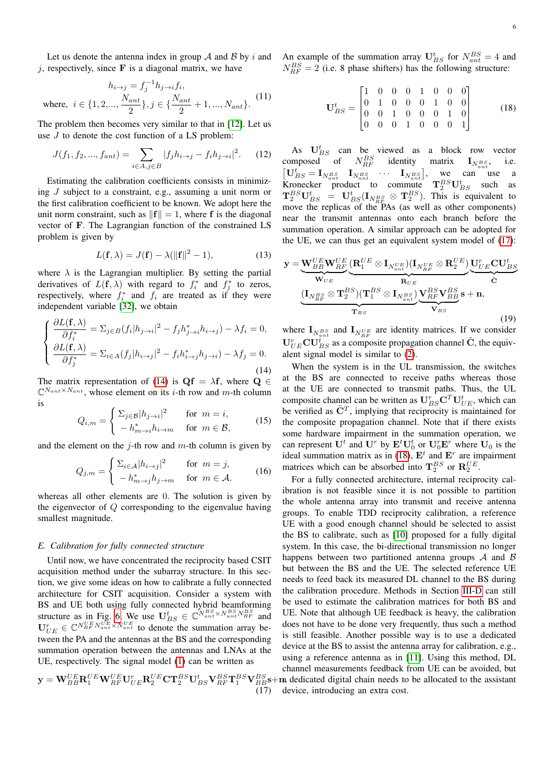Let us denote the antenna index in group  $A$  and  $B$  by i and j, respectively, since  $\bf{F}$  is a diagonal matrix, we have

$$
h_{i \to j} = f_j^{-1} h_{j \to i} f_i,
$$
  
where,  $i \in \{1, 2, ..., \frac{N_{ant}}{2}\}, j \in \{\frac{N_{ant}}{2} + 1, ..., N_{ant}\}.$  (11)

The problem then becomes very similar to that in [\[12\]](#page-9-11). Let us use J to denote the cost function of a LS problem:

<span id="page-5-3"></span>
$$
J(f_1, f_2, ..., f_{ant}) = \sum_{i \in A, j \in B} |f_j h_{i \to j} - f_i h_{j \to i}|^2.
$$
 (12)

Estimating the calibration coefficients consists in minimizing J subject to a constraint, e.g., assuming a unit norm or the first calibration coefficient to be known. We adopt here the unit norm constraint, such as  $||{\bf f}|| = 1$ , where f is the diagonal vector of F. The Lagrangian function of the constrained LS problem is given by

$$
L(\mathbf{f}, \lambda) = J(\mathbf{f}) - \lambda (\|\mathbf{f}\|^2 - 1), \tag{13}
$$

where  $\lambda$  is the Lagrangian multiplier. By setting the partial derivatives of  $L(f, \lambda)$  with regard to  $f_i^*$  and  $f_j^*$  to zeros, respectively, where  $f_i^*$  and  $f_i$  are treated as if they were independent variable [\[32\]](#page-9-27), we obtain

<span id="page-5-0"></span>
$$
\begin{cases}\n\frac{\partial L(\mathbf{f}, \lambda)}{\partial f_i^*} = \sum_{j \in B} (f_i | h_{j \to i}|^2 - f_j h_{j \to i}^* h_{i \to j}) - \lambda f_i = 0, \\
\frac{\partial L(\mathbf{f}, \lambda)}{\partial f_j^*} = \sum_{i \in A} (f_j | h_{i \to j}|^2 - f_i h_{i \to j}^* h_{j \to i}) - \lambda f_j = 0.\n\end{cases}
$$
\n(14)

The matrix representation of [\(14\)](#page-5-0) is  $\mathbf{Qf} = \lambda \mathbf{f}$ , where  $\mathbf{Q} \in \mathbf{Q}$  $\mathbb{C}^{N_{ant}\times N_{ant}}$ , whose element on its *i*-th row and *m*-th column is

$$
Q_{i,m} = \begin{cases} \sum_{j \in \mathcal{B}} |h_{j \to i}|^2 & \text{for } m = i, \\ -h_{m \to i}^* h_{i \to m} & \text{for } m \in \mathcal{B}, \end{cases}
$$
(15)

and the element on the j-th row and  $m$ -th column is given by

$$
Q_{j,m} = \begin{cases} \sum_{i \in \mathcal{A}} |h_{i \to j}|^2 & \text{for } m = j, \\ -h_{m \to j}^* h_{j \to m} & \text{for } m \in \mathcal{A}. \end{cases}
$$
 (16)

whereas all other elements are 0. The solution is given by the eigenvector of Q corresponding to the eigenvalue having smallest magnitude.

## *E. Calibration for fully connected structure*

Until now, we have concentrated the reciprocity based CSIT acquisition method under the subarray structure. In this section, we give some ideas on how to calibrate a fully connected architecture for CSIT acquisition. Consider a system with BS and UE both using fully connected hybrid beamforming structure as in Fig. [6.](#page-6-0) We use  $\mathbf{U}_{BS}^t \in \mathbb{C}^{N_{ant}^{BS} \times N_{ant}^{BS} N_{RF}^{BS}}$  and  $\mathbf{U}_{UE}^r \in \mathbb{C}^{N_{RF}^{UE}N_{ant}^{UE} \times N_{ant}^{UE}}$  to denote the summation array between the PA and the antennas at the BS and the corresponding summation operation between the antennas and LNAs at the UE, respectively. The signal model [\(1\)](#page-2-1) can be written as

<span id="page-5-1"></span>
$$
\mathbf{y} = \mathbf{W}_{BB}^{UE} \mathbf{R}_1^{UE} \mathbf{W}_{RF}^{UE} \mathbf{U}_{UE}^r \mathbf{R}_2^{UE} \mathbf{C} \mathbf{T}_2^{BS} \mathbf{U}_{BS}^t \mathbf{V}_{RF}^{BS} \mathbf{T}_1^{BS} \mathbf{V}_{BB}^{BS} + (17)
$$

<span id="page-5-2"></span>
$$
\mathbf{U}_{BS}^{t} = \begin{bmatrix} 1 & 0 & 0 & 0 & 1 & 0 & 0 & 0 \\ 0 & 1 & 0 & 0 & 0 & 1 & 0 & 0 \\ 0 & 0 & 1 & 0 & 0 & 0 & 1 & 0 \\ 0 & 0 & 0 & 1 & 0 & 0 & 0 & 1 \end{bmatrix}
$$
 (18)

As  $U_{BS}^{t}$  can be viewed as a block row vector composed of  $N_{RF}^{BS}$  identity matrix  $\mathbf{I}_{N_{ant}^{BS}}$ , i.e.  $\begin{bmatrix} \mathbf{U}_{BS}^t = \mathbf{I}_{N_{ant}^{BS}} & \mathbf{I}_{N_{ant}^{BS}} & \cdots & \mathbf{I}_{N_{ant}^{BS}} \end{bmatrix}$ , we can use a Kronecker product to commute  $T_2^{BS}U_{BS}^t$  such as  ${\bf T}_2^{BS}{\bf U}_{BS}^t = {\bf U}_{BS}^t({\bf I}_{N_{RF}^{BS}} \otimes {\bf T}_2^{BS})$ . This is equivalent to move the replicas of the PAs (as well as other components) near the transmit antennas onto each branch before the summation operation. A similar approach can be adopted for the UE, we can thus get an equivalent system model of [\(17\)](#page-5-1):

$$
\mathbf{y} = \underbrace{\mathbf{W}_{BB}^{UE} \mathbf{W}_{RF}^{UE}}_{\mathbf{W}_{UE}} (\underbrace{\mathbf{R}_{1}^{UE} \otimes \mathbf{I}_{N_{ant}^{UE}}}_{\mathbf{R}_{UE}})(\mathbf{I}_{N_{RF}^{UE}} \otimes \mathbf{R}_{2}^{UE})}_{\mathbf{R}_{UE}} \underbrace{\mathbf{U}_{UE}^{T} \mathbf{C} \mathbf{U}_{BS}^{t}}_{\mathbf{\tilde{C}}}
$$
\n
$$
(\underbrace{\mathbf{I}_{N_{RF}^{BS}} \otimes \mathbf{T}_{2}^{BS})(\mathbf{T}_{1}^{BS} \otimes \mathbf{I}_{N_{ant}^{BS}})}_{\mathbf{T}_{BS}}) \underbrace{\mathbf{V}_{RF}^{BS} \mathbf{V}_{BB}^{BS}}_{\mathbf{V}_{BS}} \mathbf{s} + \mathbf{n},
$$
\n(19)

where  $\mathbf{I}_{N_{ant}^{BS}}$  and  $\mathbf{I}_{N_{RF}^{UE}}$  are identity matrices. If we consider  $U_{UE}^{r}CU_{BS}^{t}$  as a composite propagation channel  $\tilde{C}$ , the equivalent signal model is similar to [\(2\)](#page-2-2).

When the system is in the UL transmission, the switches at the BS are connected to receive paths whereas those at the UE are connected to transmit paths. Thus, the UL composite channel can be written as  $\mathbf{U}_{BS}^r \mathbf{C}^T \mathbf{U}_{UE}^t$ , which can be verified as  $\tilde{C}^T$ , implying that reciprocity is maintained for the composite propagation channel. Note that if there exists some hardware impairment in the summation operation, we can represent  $\mathbf{U}^t$  and  $\mathbf{U}^r$  by  $\mathbf{E}^t \mathbf{U}_0^t$  or  $\mathbf{U}_0^r \mathbf{E}^r$  where  $\mathbf{U}_0$  is the ideal summation matrix as in [\(18\)](#page-5-2),  $E<sup>t</sup>$  and  $E<sup>r</sup>$  are impairment matrices which can be absorbed into  $\mathbf{T}_2^{BS}$  or  $\mathbf{R}_2^{UE}$ .

 $^{BS}_{BB}$ s+m, dedicated digital chain needs to be allocated to the assistant For a fully connected architecture, internal reciprocity calibration is not feasible since it is not possible to partition the whole antenna array into transmit and receive antenna groups. To enable TDD reciprocity calibration, a reference UE with a good enough channel should be selected to assist the BS to calibrate, such as [\[10\]](#page-9-9) proposed for a fully digital system. In this case, the bi-directional transmission no longer happens between two partitioned antenna groups  $\mathcal A$  and  $\mathcal B$ but between the BS and the UE. The selected reference UE needs to feed back its measured DL channel to the BS during the calibration procedure. Methods in Section [III-D](#page-4-1) can still be used to estimate the calibration matrices for both BS and UE. Note that although UE feedback is heavy, the calibration does not have to be done very frequently, thus such a method is still feasible. Another possible way is to use a dedicated device at the BS to assist the antenna array for calibration, e.g., using a reference antenna as in [\[11\]](#page-9-10). Using this method, DL channel measurements feedback from UE can be avoided, but device, introducing an extra cost.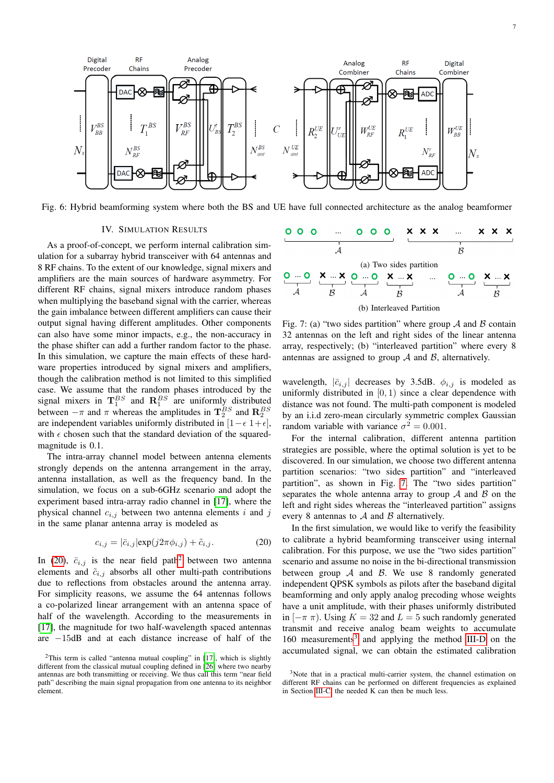<span id="page-6-0"></span>

Fig. 6: Hybrid beamforming system where both the BS and UE have full connected architecture as the analog beamformer

## IV. SIMULATION RESULTS

As a proof-of-concept, we perform internal calibration simulation for a subarray hybrid transceiver with 64 antennas and 8 RF chains. To the extent of our knowledge, signal mixers and amplifiers are the main sources of hardware asymmetry. For different RF chains, signal mixers introduce random phases when multiplying the baseband signal with the carrier, whereas the gain imbalance between different amplifiers can cause their output signal having different amplitudes. Other components can also have some minor impacts, e.g., the non-accuracy in the phase shifter can add a further random factor to the phase. In this simulation, we capture the main effects of these hardware properties introduced by signal mixers and amplifiers, though the calibration method is not limited to this simplified case. We assume that the random phases introduced by the signal mixers in  $\mathbf{T}_1^{BS}$  and  $\mathbf{R}_1^{BS}$  are uniformly distributed between  $-\pi$  and  $\pi$  whereas the amplitudes in  $\mathbf{T}_2^{BS}$  and  $\mathbf{R}_2^{BS}$ are independent variables uniformly distributed in  $[1 - \epsilon \ 1 + \epsilon]$ , with  $\epsilon$  chosen such that the standard deviation of the squaredmagnitude is  $0.1$ .

The intra-array channel model between antenna elements strongly depends on the antenna arrangement in the array, antenna installation, as well as the frequency band. In the simulation, we focus on a sub-6GHz scenario and adopt the experiment based intra-array radio channel in [\[17\]](#page-9-15), where the physical channel  $c_{i,j}$  between two antenna elements i and j in the same planar antenna array is modeled as

<span id="page-6-1"></span>
$$
c_{i,j} = |\bar{c}_{i,j}| \exp(j2\pi\phi_{i,j}) + \tilde{c}_{i,j}.
$$
 (20)

In [\(20\)](#page-6-1),  $\bar{c}_{i,j}$  is the near field path<sup>[2](#page-6-2)</sup> between two antenna elements and  $\tilde{c}_{i,j}$  absorbs all other multi-path contributions due to reflections from obstacles around the antenna array. For simplicity reasons, we assume the 64 antennas follows a co-polarized linear arrangement with an antenna space of half of the wavelength. According to the measurements in [\[17\]](#page-9-15), the magnitude for two half-wavelength spaced antennas are −15dB and at each distance increase of half of the

<span id="page-6-3"></span>

Fig. 7: (a) "two sides partition" where group  $A$  and  $B$  contain 32 antennas on the left and right sides of the linear antenna array, respectively; (b) "interleaved partition" where every 8 antennas are assigned to group  $A$  and  $B$ , alternatively.

wavelength,  $|\bar{c}_{i,j}|$  decreases by 3.5dB.  $\phi_{i,j}$  is modeled as uniformly distributed in  $[0, 1)$  since a clear dependence with distance was not found. The multi-path component is modeled by an i.i.d zero-mean circularly symmetric complex Gaussian random variable with variance  $\sigma^2 = 0.001$ .

For the internal calibration, different antenna partition strategies are possible, where the optimal solution is yet to be discovered. In our simulation, we choose two different antenna partition scenarios: "two sides partition" and "interleaved partition", as shown in Fig. [7.](#page-6-3) The "two sides partition" separates the whole antenna array to group  $A$  and  $B$  on the left and right sides whereas the "interleaved partition" assigns every 8 antennas to  $A$  and  $B$  alternatively.

In the first simulation, we would like to verify the feasibility to calibrate a hybrid beamforming transceiver using internal calibration. For this purpose, we use the "two sides partition" scenario and assume no noise in the bi-directional transmission between group  $A$  and  $B$ . We use 8 randomly generated independent QPSK symbols as pilots after the baseband digital beamforming and only apply analog precoding whose weights have a unit amplitude, with their phases uniformly distributed in  $[-\pi \pi)$ . Using  $K = 32$  and  $L = 5$  such randomly generated transmit and receive analog beam weights to accumulate 160 measurements<sup>[3](#page-6-4)</sup> and applying the method [III-D](#page-4-1) on the accumulated signal, we can obtain the estimated calibration

<span id="page-6-2"></span><sup>&</sup>lt;sup>2</sup>This term is called "antenna mutual coupling" in [\[17\]](#page-9-15), which is slightly different from the classical mutual coupling defined in [\[26\]](#page-9-22) where two nearby antennas are both transmitting or receiving. We thus call this term "near field path" describing the main signal propagation from one antenna to its neighbor element.

<span id="page-6-4"></span><sup>3</sup>Note that in a practical multi-carrier system, the channel estimation on different RF chains can be performed on different frequencies as explained in Section [III-C,](#page-3-5) the needed K can then be much less.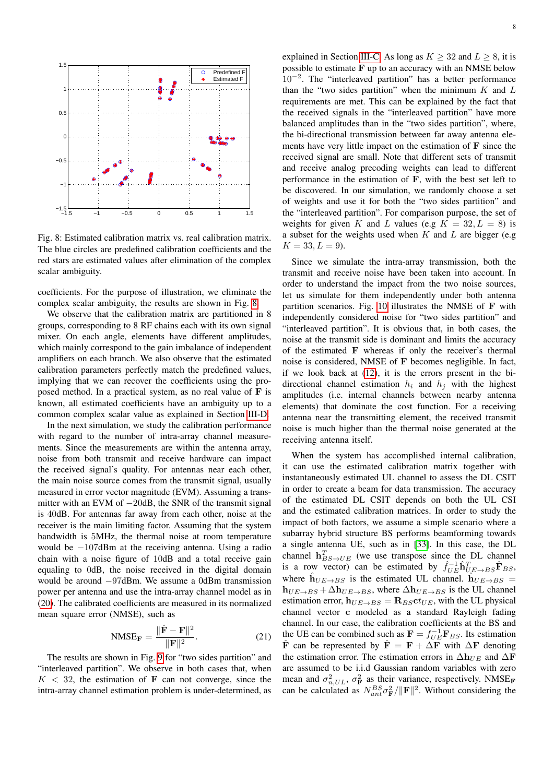<span id="page-7-0"></span>

Fig. 8: Estimated calibration matrix vs. real calibration matrix. The blue circles are predefined calibration coefficients and the red stars are estimated values after elimination of the complex scalar ambiguity.

coefficients. For the purpose of illustration, we eliminate the complex scalar ambiguity, the results are shown in Fig. [8.](#page-7-0)

We observe that the calibration matrix are partitioned in 8 groups, corresponding to 8 RF chains each with its own signal mixer. On each angle, elements have different amplitudes, which mainly correspond to the gain imbalance of independent amplifiers on each branch. We also observe that the estimated calibration parameters perfectly match the predefined values, implying that we can recover the coefficients using the proposed method. In a practical system, as no real value of F is known, all estimated coefficients have an ambiguity up to a common complex scalar value as explained in Section [III-D.](#page-4-1)

In the next simulation, we study the calibration performance with regard to the number of intra-array channel measurements. Since the measurements are within the antenna array, noise from both transmit and receive hardware can impact the received signal's quality. For antennas near each other, the main noise source comes from the transmit signal, usually measured in error vector magnitude (EVM). Assuming a transmitter with an EVM of −20dB, the SNR of the transmit signal is 40dB. For antennas far away from each other, noise at the receiver is the main limiting factor. Assuming that the system bandwidth is 5MHz, the thermal noise at room temperature would be −107dBm at the receiving antenna. Using a radio chain with a noise figure of 10dB and a total receive gain equaling to 0dB, the noise received in the digital domain would be around −97dBm. We assume a 0dBm transmission power per antenna and use the intra-array channel model as in [\(20\)](#page-6-1). The calibrated coefficients are measured in its normalized mean square error (NMSE), such as

$$
\text{NMSE}_{\mathbf{F}} = \frac{\|\hat{\mathbf{F}} - \mathbf{F}\|^2}{\|\mathbf{F}\|^2}.
$$
 (21)

The results are shown in Fig. [9](#page-8-0) for "two sides partition" and "interleaved partition". We observe in both cases that, when  $K < 32$ , the estimation of **F** can not converge, since the intra-array channel estimation problem is under-determined, as explained in Section [III-C.](#page-3-5) As long as  $K > 32$  and  $L > 8$ , it is possible to estimate  $F$  up to an accuracy with an NMSE below 10−<sup>2</sup> . The "interleaved partition" has a better performance than the "two sides partition" when the minimum  $K$  and  $L$ requirements are met. This can be explained by the fact that the received signals in the "interleaved partition" have more balanced amplitudes than in the "two sides partition", where, the bi-directional transmission between far away antenna elements have very little impact on the estimation of  **since the** received signal are small. Note that different sets of transmit and receive analog precoding weights can lead to different performance in the estimation of F, with the best set left to be discovered. In our simulation, we randomly choose a set of weights and use it for both the "two sides partition" and the "interleaved partition". For comparison purpose, the set of weights for given K and L values (e.g  $K = 32, L = 8$ ) is a subset for the weights used when  $K$  and  $L$  are bigger (e.g.  $K = 33, L = 9$ ).

Since we simulate the intra-array transmission, both the transmit and receive noise have been taken into account. In order to understand the impact from the two noise sources, let us simulate for them independently under both antenna partition scenarios. Fig. [10](#page-8-0) illustrates the NMSE of F with independently considered noise for "two sides partition" and "interleaved partition". It is obvious that, in both cases, the noise at the transmit side is dominant and limits the accuracy of the estimated F whereas if only the receiver's thermal noise is considered, NMSE of F becomes negligible. In fact, if we look back at [\(12\)](#page-5-3), it is the errors present in the bidirectional channel estimation  $h_i$  and  $h_j$  with the highest amplitudes (i.e. internal channels between nearby antenna elements) that dominate the cost function. For a receiving antenna near the transmitting element, the received transmit noise is much higher than the thermal noise generated at the receiving antenna itself.

When the system has accomplished internal calibration, it can use the estimated calibration matrix together with instantaneously estimated UL channel to assess the DL CSIT in order to create a beam for data transmission. The accuracy of the estimated DL CSIT depends on both the UL CSI and the estimated calibration matrices. In order to study the impact of both factors, we assume a simple scenario where a subarray hybrid structure BS performs beamforming towards a single antenna UE, such as in [\[33\]](#page-9-28). In this case, the DL channel  $h_{BS\to UE}^T$  (we use transpose since the DL channel is a row vector) can be estimated by  $\hat{f}_{UE}^{-1} \hat{\mathbf{h}}_{UE\rightarrow BS}^T \hat{\mathbf{F}}_{BS}$ , where  $\hat{h}_{UE\rightarrow BS}$  is the estimated UL channel.  $\hat{h}_{UE\rightarrow BS}$  $h_{UE\rightarrow BS} + \Delta h_{UE\rightarrow BS}$ , where  $\Delta h_{UE\rightarrow BS}$  is the UL channel estimation error,  $h_{UE\rightarrow BS} = R_{BS}ct_{UE}$ , with the UL physical channel vector c modeled as a standard Rayleigh fading channel. In our case, the calibration coefficients at the BS and the UE can be combined such as  $\mathbf{F} = f_{UE}^{-1} \mathbf{F}_{BS}$ . Its estimation  $\hat{\mathbf{F}}$  can be represented by  $\hat{\mathbf{F}} = \mathbf{F} + \Delta \mathbf{F}$  with  $\Delta \mathbf{F}$  denoting the estimation error. The estimation errors in  $\Delta h_{UE}$  and  $\Delta F$ are assumed to be i.i.d Gaussian random variables with zero mean and  $\sigma_{n,UL}^2$ ,  $\sigma_{\mathbf{F}}^2$  as their variance, respectively. NMSE<sub>F</sub> can be calculated as  $N_{ant}^{BS} \sigma_{\mathbf{F}}^2 / ||\mathbf{F}||^2$ . Without considering the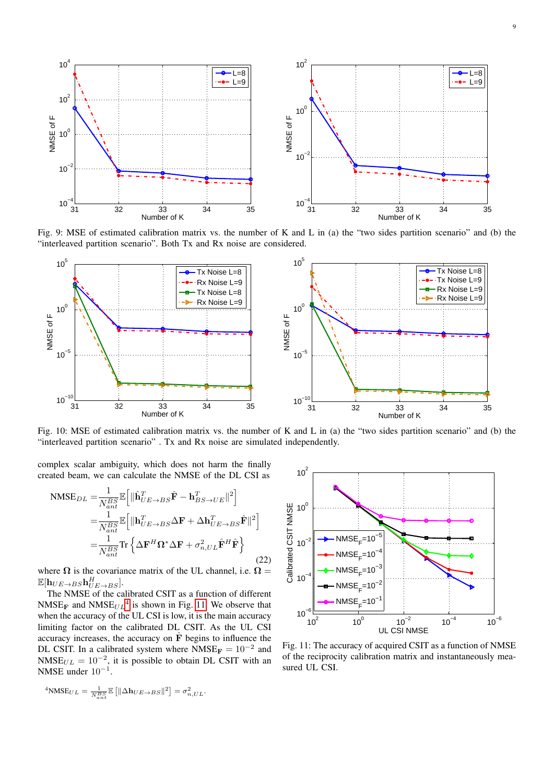<span id="page-8-0"></span>

Fig. 9: MSE of estimated calibration matrix vs. the number of K and L in (a) the "two sides partition scenario" and (b) the "interleaved partition scenario". Both Tx and Rx noise are considered.



Fig. 10: MSE of estimated calibration matrix vs. the number of K and L in (a) the "two sides partition scenario" and (b) the "interleaved partition scenario" . Tx and Rx noise are simulated independently.

<span id="page-8-2"></span> $10^{2}$  r

complex scalar ambiguity, which does not harm the finally created beam, we can calculate the NMSE of the DL CSI as

$$
\text{NMSE}_{DL} = \frac{1}{N_{ant}^{BS}} \mathbb{E} \left[ \|\hat{\mathbf{h}}_{UE \to BS}^T \hat{\mathbf{F}} - \mathbf{h}_{BS \to UE}^T \|^2 \right]
$$
  
\n
$$
= \frac{1}{N_{ant}^{BS}} \mathbb{E} \left[ \|\mathbf{h}_{UE \to BS}^T \Delta \mathbf{F} + \Delta \mathbf{h}_{UE \to BS}^T \hat{\mathbf{F}} \|^2 \right]
$$
  
\n
$$
= \frac{1}{N_{ant}^{BS}} \text{Tr} \left\{ \Delta \mathbf{F}^H \mathbf{\Omega}^* \Delta \mathbf{F} + \sigma_{n, UL}^2 \hat{\mathbf{F}}^H \hat{\mathbf{F}} \right\} \tag{22}
$$

where  $\Omega$  is the covariance matrix of the UL channel, i.e.  $\Omega =$  $\mathbb{E}[\mathbf{h}_{UE\rightarrow BS}\mathbf{h}^H_{UE\rightarrow BS}].$ 

The NMSE of the calibrated CSIT as a function of different  $NMSE_F$  and  $NMSE_{UL}^4$  $NMSE_{UL}^4$  is shown in Fig. [11.](#page-8-2) We observe that when the accuracy of the UL CSI is low, it is the main accuracy limiting factor on the calibrated DL CSIT. As the UL CSI accuracy increases, the accuracy on  $\hat{F}$  begins to influence the DL CSIT. In a calibrated system where  $NMSE_F = 10^{-2}$  and NMSE $_{UL} = 10^{-2}$ , it is possible to obtain DL CSIT with an NMSE under  $10^{-1}$ .

$$
\frac{\frac{11}{25}}{10^{-9}}
$$
\n
$$
\frac{1}{20}
$$
\n
$$
\frac{1}{20}
$$
\n
$$
\frac{1}{20}
$$
\n
$$
\frac{1}{20}
$$
\n
$$
\frac{1}{20}
$$
\n
$$
\frac{1}{20}
$$
\n
$$
\frac{1}{20}
$$
\n
$$
\frac{1}{20}
$$
\n
$$
\frac{1}{20}
$$
\n
$$
\frac{1}{20}
$$
\n
$$
\frac{1}{20}
$$
\n
$$
\frac{1}{20}
$$
\n
$$
\frac{1}{20}
$$
\n
$$
\frac{1}{20}
$$
\n
$$
\frac{1}{20}
$$
\n
$$
\frac{1}{20}
$$
\n
$$
\frac{1}{20}
$$
\n
$$
\frac{1}{20}
$$
\n
$$
\frac{1}{20}
$$
\n
$$
\frac{1}{20}
$$
\n
$$
\frac{1}{20}
$$
\n
$$
\frac{1}{20}
$$
\n
$$
\frac{1}{20}
$$
\n
$$
\frac{1}{20}
$$
\n
$$
\frac{1}{20}
$$
\n
$$
\frac{1}{20}
$$
\n
$$
\frac{1}{20}
$$
\n
$$
\frac{1}{20}
$$
\n
$$
\frac{1}{20}
$$
\n
$$
\frac{1}{20}
$$
\n
$$
\frac{1}{20}
$$
\n
$$
\frac{1}{20}
$$
\n
$$
\frac{1}{20}
$$
\n
$$
\frac{1}{20}
$$
\n
$$
\frac{1}{20}
$$
\n
$$
\frac{1}{20}
$$
\n
$$
\frac{1}{20}
$$
\n
$$
\frac{1}{20}
$$
\n
$$
\frac{1}{20}
$$
\n
$$
\frac{1}{20}
$$
\n
$$
\frac{1}{20}
$$
\n
$$
\frac{1}{20}
$$
\n
$$
\frac{1}{20}
$$
\n
$$
\frac{1}{20}
$$
\n
$$
\frac{1}{20}
$$
\n
$$
\frac{1}{20}
$$
\n<math display="</math>

Fig. 11: The accuracy of acquired CSIT as a function of NMSE of the reciprocity calibration matrix and instantaneously measured UL CSI.

<span id="page-8-1"></span>
$$
^4\text{NMSE}_{UL} = \frac{1}{N_{ant}^{BS}} \mathbb{E}\left[\|\Delta \mathbf{h}_{UE\rightarrow BS}\|^2\right] = \sigma_{n,UL}^2.
$$